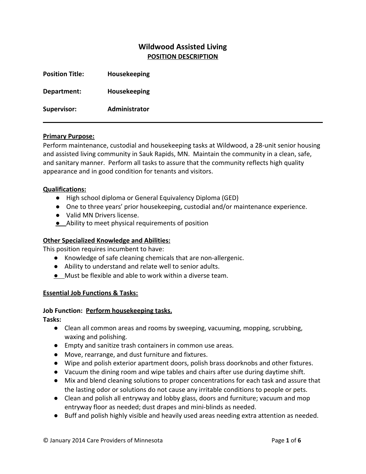# **Wildwood Assisted Living POSITION DESCRIPTION**

| <b>Position Title:</b> | Housekeeping  |
|------------------------|---------------|
| Department:            | Housekeeping  |
| <b>Supervisor:</b>     | Administrator |

#### **Primary Purpose:**

Perform maintenance, custodial and housekeeping tasks at Wildwood, a 28-unit senior housing and assisted living community in Sauk Rapids, MN. Maintain the community in a clean, safe, and sanitary manner. Perform all tasks to assure that the community reflects high quality appearance and in good condition for tenants and visitors.

#### **Qualifications:**

- High school diploma or General Equivalency Diploma (GED)
- One to three years' prior housekeeping, custodial and/or maintenance experience.
- Valid MN Drivers license.
- **●** Ability to meet physical requirements of position

#### **Other Specialized Knowledge and Abilities:**

This position requires incumbent to have:

- Knowledge of safe cleaning chemicals that are non-allergenic.
- Ability to understand and relate well to senior adults.
- **●** Must be flexible and able to work within a diverse team.

#### **Essential Job Functions & Tasks:**

#### **Job Function: Perform housekeeping tasks.**

**Tasks:**

- Clean all common areas and rooms by sweeping, vacuuming, mopping, scrubbing, waxing and polishing.
- Empty and sanitize trash containers in common use areas.
- Move, rearrange, and dust furniture and fixtures.
- Wipe and polish exterior apartment doors, polish brass doorknobs and other fixtures.
- Vacuum the dining room and wipe tables and chairs after use during daytime shift.
- Mix and blend cleaning solutions to proper concentrations for each task and assure that the lasting odor or solutions do not cause any irritable conditions to people or pets.
- Clean and polish all entryway and lobby glass, doors and furniture; vacuum and mop entryway floor as needed; dust drapes and mini-blinds as needed.
- Buff and polish highly visible and heavily used areas needing extra attention as needed.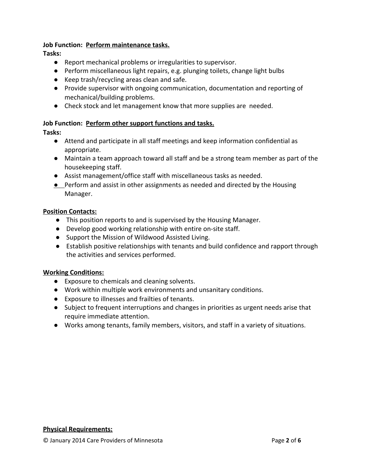### **Job Function: Perform maintenance tasks.**

**Tasks:**

- Report mechanical problems or irregularities to supervisor.
- Perform miscellaneous light repairs, e.g. plunging toilets, change light bulbs
- Keep trash/recycling areas clean and safe.
- Provide supervisor with ongoing communication, documentation and reporting of mechanical/building problems.
- Check stock and let management know that more supplies are needed.

### **Job Function: Perform other support functions and tasks.**

#### **Tasks:**

- Attend and participate in all staff meetings and keep information confidential as appropriate.
- Maintain a team approach toward all staff and be a strong team member as part of the housekeeping staff.
- Assist management/office staff with miscellaneous tasks as needed.
- Perform and assist in other assignments as needed and directed by the Housing Manager.

#### **Position Contacts:**

- This position reports to and is supervised by the Housing Manager.
- Develop good working relationship with entire on-site staff.
- Support the Mission of Wildwood Assisted Living.
- Establish positive relationships with tenants and build confidence and rapport through the activities and services performed.

### **Working Conditions:**

- Exposure to chemicals and cleaning solvents.
- Work within multiple work environments and unsanitary conditions.
- Exposure to illnesses and frailties of tenants.
- Subject to frequent interruptions and changes in priorities as urgent needs arise that require immediate attention.
- Works among tenants, family members, visitors, and staff in a variety of situations.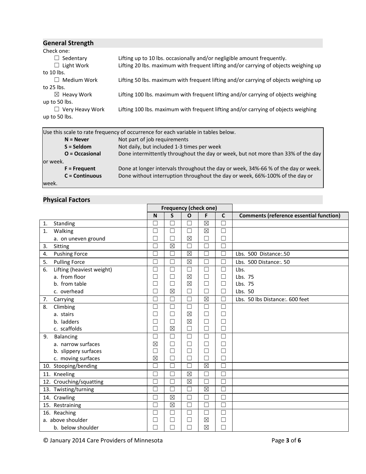| <b>General Strength</b> |                                                                                      |
|-------------------------|--------------------------------------------------------------------------------------|
| Check one:              |                                                                                      |
| $\Box$ Sedentary        | Lifting up to 10 lbs. occasionally and/or negligible amount frequently.              |
| $\Box$ Light Work       | Lifting 20 lbs. maximum with frequent lifting and/or carrying of objects weighing up |
| to $10$ lbs.            |                                                                                      |
| Medium Work             | Lifting 50 lbs. maximum with frequent lifting and/or carrying of objects weighing up |
| to 25 lbs.              |                                                                                      |
| $\boxtimes$ Heavy Work  | Lifting 100 lbs. maximum with frequent lifting and/or carrying of objects weighing   |
| up to 50 lbs.           |                                                                                      |
| $\Box$ Very Heavy Work  | Lifting 100 lbs. maximum with frequent lifting and/or carrying of objects weighing   |
| up to 50 lbs.           |                                                                                      |
|                         |                                                                                      |

|           |                       | Use this scale to rate frequency of occurrence for each variable in tables below. |  |  |  |  |  |  |  |  |
|-----------|-----------------------|-----------------------------------------------------------------------------------|--|--|--|--|--|--|--|--|
|           | $N =$ Never           | Not part of job requirements                                                      |  |  |  |  |  |  |  |  |
|           | $S =$ Seldom          | Not daily, but included 1-3 times per week                                        |  |  |  |  |  |  |  |  |
|           | O = Occasional        | Done intermittently throughout the day or week, but not more than 33% of the day  |  |  |  |  |  |  |  |  |
| lor week. |                       |                                                                                   |  |  |  |  |  |  |  |  |
|           | $F =$ Frequent        | Done at longer intervals throughout the day or week, 34%-66 % of the day or week. |  |  |  |  |  |  |  |  |
|           | <b>C</b> = Continuous | Done without interruption throughout the day or week, 66%-100% of the day or      |  |  |  |  |  |  |  |  |
| week.     |                       |                                                                                   |  |  |  |  |  |  |  |  |

# **Physical Factors**

|    |                           | <b>Frequency (check one)</b> |                   |              |                        |              |                                                |
|----|---------------------------|------------------------------|-------------------|--------------|------------------------|--------------|------------------------------------------------|
|    |                           | N                            | $\mathsf{s}$      | $\mathbf{o}$ | F                      | $\mathbf{C}$ | <b>Comments (reference essential function)</b> |
| 1. | Standing                  | П                            | $\Box$            | П            | $\boxtimes$            | $\Box$       |                                                |
| 1. | Walking                   | $\Box$                       | □                 | $\Box$       | $\boxtimes$            | $\Box$       |                                                |
|    | a. on uneven ground       |                              | П                 | $\boxtimes$  | $\Box$                 | $\Box$       |                                                |
| 3. | Sitting                   | П                            | $\boxtimes$       | П            | $\Box$                 | $\Box$       |                                                |
| 4. | <b>Pushing Force</b>      |                              | П                 | $\boxtimes$  | $\Box$                 | П            | Lbs. 500 Distance:.50                          |
| 5. | <b>Pulling Force</b>      | $\Box$                       | $\Box$            | $\boxtimes$  | $\Box$                 | $\Box$       | Lbs. 500 Distance: 50                          |
| 6. | Lifting (heaviest weight) | □                            | □                 | $\Box$       | $\Box$                 | $\Box$       | Lbs.                                           |
|    | a. from floor             | $\overline{\phantom{a}}$     | $\Box$            | $\boxtimes$  | □                      | $\Box$       | Lbs. 75                                        |
|    | b. from table             |                              | $\Box$            | $\boxtimes$  | $\Box$                 | $\Box$       | Lbs. 75                                        |
|    | c. overhead               | П                            | $\boxtimes$       | $\Box$       | $\Box$                 | $\Box$       | Lbs. 50                                        |
| 7. | Carrying                  |                              | $\overline{\Box}$ | $\Box$       | $\boxtimes$            | $\Box$       | Lbs. 50 lbs Distance: 600 feet                 |
| 8. | Climbing                  | ٦                            | $\Box$            | П            | $\Box$                 | $\Box$       |                                                |
|    | a. stairs                 |                              | $\Box$            | $\boxtimes$  | $\Box$                 | $\Box$       |                                                |
|    | b. ladders                | □                            | $\Box$            | $\boxtimes$  | $\Box$                 | $\Box$       |                                                |
|    | c. scaffolds              | П                            | $\boxtimes$       | $\Box$       | $\Box$                 | $\Box$       |                                                |
| 9. | Balancing                 | П                            | $\Box$            | $\Box$       | $\Box$                 | $\Box$       |                                                |
|    | a. narrow surfaces        | $\boxtimes$                  | $\Box$            | $\Box$       | □                      | □            |                                                |
|    | b. slippery surfaces      | $\Box$                       | □                 | □            | □                      | $\Box$       |                                                |
|    | c. moving surfaces        | $\boxtimes$                  | П                 | $\Box$       | $\Box$                 | $\Box$       |                                                |
|    | 10. Stooping/bending      | П                            | $\Box$            | $\Box$       | $\overline{\boxtimes}$ | $\Box$       |                                                |
|    | 11. Kneeling              | П                            | П                 | $\boxtimes$  | $\Box$                 | $\Box$       |                                                |
|    | 12. Crouching/squatting   |                              | П                 | $\boxtimes$  | П                      | Г            |                                                |
|    | 13. Twisting/turning      | П                            | П                 | $\Box$       | $\boxtimes$            | $\Box$       |                                                |
|    | 14. Crawling              | П                            | $\boxtimes$       | $\Box$       | П                      | П            |                                                |
|    | 15. Restraining           | $\Box$                       | $\boxtimes$       | $\Box$       | $\Box$                 | $\Box$       |                                                |
|    | 16. Reaching              | ┓                            | $\Box$            | $\Box$       | $\Box$                 | $\Box$       |                                                |
|    | a. above shoulder         | $\overline{\phantom{a}}$     | $\Box$            | $\Box$       | $\boxtimes$            | $\Box$       |                                                |
|    | b. below shoulder         |                              | П                 | П            | $\boxtimes$            | $\Box$       |                                                |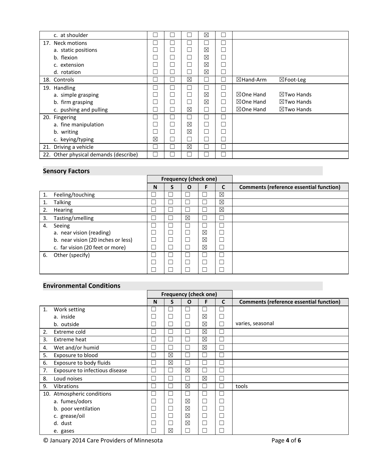| c. at shoulder                        |                          |              |             | ⊠           |                      |                       |
|---------------------------------------|--------------------------|--------------|-------------|-------------|----------------------|-----------------------|
|                                       |                          |              |             |             |                      |                       |
| 17. Neck motions                      |                          | z.           | ᆜ           |             |                      |                       |
| a. static positions                   |                          | $\Box$       | П           | $\boxtimes$ |                      |                       |
| b. flexion                            |                          | $\Box$       | П           | ⊠           |                      |                       |
| c. extension                          |                          | $\Box$       | $\Box$      | ⊠           |                      |                       |
| d. rotation                           |                          | $\mathbf{I}$ |             | ⊠           |                      |                       |
| 18. Controls                          |                          | Ξ            | $\boxtimes$ | Τ           | $\boxtimes$ Hand-Arm | $\boxtimes$ Foot-Leg  |
| 19. Handling                          |                          | $\mathbb{L}$ | $\Box$      |             |                      |                       |
| a. simple grasping                    |                          | $\Box$       | Ξ           | ⊠           | $\boxtimes$ One Hand | $\boxtimes$ Two Hands |
| b. firm grasping                      |                          | $\Box$       |             | ⊠           | $\boxtimes$ One Hand | $\boxtimes$ Two Hands |
| c. pushing and pulling                |                          | Г            | $\boxtimes$ | Γ           | $\boxtimes$ One Hand | $\boxtimes$ Two Hands |
| 20. Fingering                         | ப                        | Ш            | $\Box$      | Γ           |                      |                       |
| a. fine manipulation                  | $\overline{\phantom{a}}$ | $\Box$       | $\boxtimes$ | Τ           |                      |                       |
| b. writing                            |                          | $\Box$       | $\boxtimes$ | Ξ           |                      |                       |
| c. keying/typing                      | ⊠                        | Г            | Ξ           | П           |                      |                       |
| 21. Driving a vehicle                 |                          | ×.           | ⊠           |             |                      |                       |
| 22. Other physical demands (describe) |                          |              |             |             |                      |                       |

## **Sensory Factors**

|    |                                    |                          |                          | <b>Frequency (check one)</b> |             |             |                                                |
|----|------------------------------------|--------------------------|--------------------------|------------------------------|-------------|-------------|------------------------------------------------|
|    |                                    | N                        | S                        | O                            | F           | C           | <b>Comments (reference essential function)</b> |
| 1. | Feeling/touching                   | $\overline{\phantom{a}}$ | $\overline{\phantom{a}}$ |                              |             | $\boxtimes$ |                                                |
|    | <b>Talking</b>                     | J.                       | L                        |                              |             | $\boxtimes$ |                                                |
| 2. | <b>Hearing</b>                     | ᆜ                        |                          |                              |             | $\boxtimes$ |                                                |
| 3. | Tasting/smelling                   | $\overline{a}$           |                          | $\boxtimes$                  |             | J           |                                                |
| 4. | Seeing                             |                          |                          |                              |             | Π           |                                                |
|    | a. near vision (reading)           |                          |                          |                              | ⊠           | □           |                                                |
|    | b. near vision (20 inches or less) | Ξ                        |                          |                              | $\boxtimes$ | L.          |                                                |
|    | c. far vision (20 feet or more)    | $\overline{\phantom{a}}$ |                          |                              | $\boxtimes$ | I           |                                                |
| 6. | Other (specify)                    |                          | L                        |                              |             | Π           |                                                |
|    |                                    |                          |                          |                              |             | T,          |                                                |
|    |                                    |                          |                          |                              |             |             |                                                |

# **Environmental Conditions**

|                |                                |   |             | <b>Frequency (check one)</b> |                |              |                                                |
|----------------|--------------------------------|---|-------------|------------------------------|----------------|--------------|------------------------------------------------|
|                |                                | N | S           | $\Omega$                     | F              | $\mathbf{C}$ | <b>Comments (reference essential function)</b> |
| $\mathbf{1}$ . | Work setting                   |   |             | $\Box$                       |                | Ξ            |                                                |
|                | a. inside                      |   |             | П                            | $\boxtimes$    | $\Box$       |                                                |
|                | b. outside                     |   |             | Г                            | $\boxtimes$    | $\Box$       | varies, seasonal                               |
| 2.             | Extreme cold                   |   |             | Π                            | $\boxtimes$    | □            |                                                |
| 3.             | Extreme heat                   |   |             | $\Box$                       | $\boxtimes$    | $\Box$       |                                                |
| 4.             | Wet and/or humid               | Г |             | Г                            | $\boxtimes$    | $\Box$       |                                                |
| 5.             | Exposure to blood              |   | X           | П                            |                | ℶ            |                                                |
| 6.             | Exposure to body fluids        |   | $\boxtimes$ | $\Box$                       |                | Ξ            |                                                |
| 7.             | Exposure to infectious disease | г |             | $\boxtimes$                  |                | ◘            |                                                |
| 8.             | Loud noises                    | г |             | П                            | $\boxtimes$    | □            |                                                |
| 9.             | <b>Vibrations</b>              |   |             | ⊠                            | L              | ❏            | tools                                          |
|                | 10. Atmospheric conditions     | г |             | П                            | Ξ              | □            |                                                |
|                | a. fumes/odors                 |   |             | $\boxtimes$                  | $\Box$         | $\Box$       |                                                |
|                | b. poor ventilation            | E |             | ⊠                            | $\mathbb{R}^n$ | Г            |                                                |
|                | c. grease/oil                  |   |             | $\boxtimes$                  | $\Box$         | $\Box$       |                                                |
|                | d. dust                        |   |             | $\boxtimes$                  | $\Box$         | $\Box$       |                                                |
|                | e. gases                       |   | ⊠           | П                            |                | П            |                                                |

© January 2014 Care Providers of Minnesota Page **4** of **6**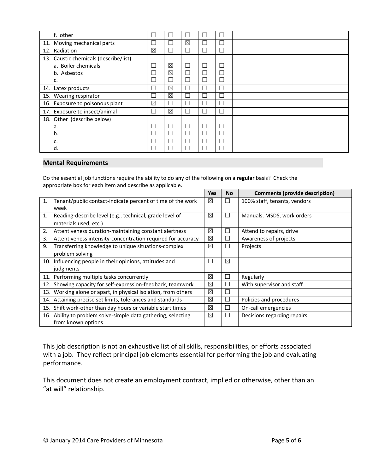| f. other                              |              |             | H           |                          | Ξ |  |
|---------------------------------------|--------------|-------------|-------------|--------------------------|---|--|
| 11. Moving mechanical parts           |              |             | $\boxtimes$ | L.                       | □ |  |
| 12. Radiation                         | ⊠            |             | $\Box$      | L                        | □ |  |
| 13. Caustic chemicals (describe/list) |              |             |             |                          |   |  |
| a. Boiler chemicals                   |              | X           | $\Box$      | □                        | □ |  |
| b. Asbestos                           |              | $\boxtimes$ | П           | J.                       | Ξ |  |
| c.                                    |              |             |             | Ξ                        | Ξ |  |
| 14. Latex products                    |              | ⊠           | $\Box$      | z.                       | Ξ |  |
| 15. Wearing respirator                | $\mathbb{R}$ | ⊠           | $\perp$     |                          | Ξ |  |
| 16. Exposure to poisonous plant       | ⊠            |             | I.          | L                        | Ξ |  |
| 17. Exposure to insect/animal         |              | $\boxtimes$ | $\Box$      | J.                       | Ξ |  |
| 18. Other (describe below)            |              |             |             |                          |   |  |
| a.                                    |              |             | $\Box$      | $\Box$                   | Ξ |  |
| b.                                    |              |             | П           | $\overline{\phantom{a}}$ | Ξ |  |
| c.                                    |              |             |             | Ξ                        | □ |  |
| d.                                    |              |             |             |                          | Τ |  |

#### **Mental Requirements**

Do the essential job functions require the ability to do any of the following on a **regular** basis? Check the appropriate box for each item and describe as applicable.

|     |                                                                | Yes         | <b>No</b>                | <b>Comments (provide description)</b> |
|-----|----------------------------------------------------------------|-------------|--------------------------|---------------------------------------|
| 1.  | Tenant/public contact-indicate percent of time of the work     | ⊠           | $\perp$                  | 100% staff, tenants, vendors          |
|     | week                                                           |             |                          |                                       |
| 1.  | Reading-describe level (e.g., technical, grade level of        | ⊠           | $\mathbf{I}$             | Manuals, MSDS, work orders            |
|     | materials used, etc.)                                          |             |                          |                                       |
| 2.  | Attentiveness duration-maintaining constant alertness          | ⊠           | П                        | Attend to repairs, drive              |
| 3.  | Attentiveness intensity-concentration required for accuracy    | ⊠           | $\mathbf{I}$             | Awareness of projects                 |
| 9.  | Transferring knowledge to unique situations-complex            | ⊠           | $\overline{\phantom{a}}$ | Projects                              |
|     | problem solving                                                |             |                          |                                       |
|     | 10. Influencing people in their opinions, attitudes and        |             | $\boxtimes$              |                                       |
|     | judgments                                                      |             |                          |                                       |
|     | 11. Performing multiple tasks concurrently                     | $\boxtimes$ | П                        | Regularly                             |
|     | 12. Showing capacity for self-expression-feedback, teamwork    | ⊠           | L                        | With supervisor and staff             |
|     | 13. Working alone or apart, in physical isolation, from others | ⊠           |                          |                                       |
| 14. | Attaining precise set limits, tolerances and standards         | ⊠           | L                        | Policies and procedures               |
|     | 15. Shift work-other than day hours or variable start times    | ⊠           | □                        | On-call emergencies                   |
|     | 16. Ability to problem solve-simple data gathering, selecting  | ⊠           | П                        | Decisions regarding repairs           |
|     | from known options                                             |             |                          |                                       |

This job description is not an exhaustive list of all skills, responsibilities, or efforts associated with a job. They reflect principal job elements essential for performing the job and evaluating performance.

This document does not create an employment contract, implied or otherwise, other than an "at will" relationship.